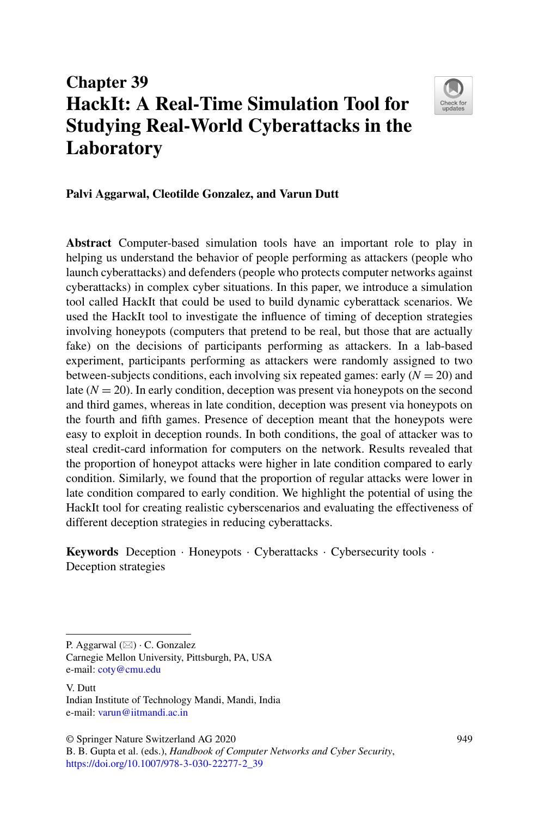# **Chapter 39 HackIt: A Real-Time Simulation Tool for Studying Real-World Cyberattacks in the Laboratory**



#### **Palvi Aggarwal, Cleotilde Gonzalez, and Varun Dutt**

**Abstract** Computer-based simulation tools have an important role to play in helping us understand the behavior of people performing as attackers (people who launch cyberattacks) and defenders (people who protects computer networks against cyberattacks) in complex cyber situations. In this paper, we introduce a simulation tool called HackIt that could be used to build dynamic cyberattack scenarios. We used the HackIt tool to investigate the influence of timing of deception strategies involving honeypots (computers that pretend to be real, but those that are actually fake) on the decisions of participants performing as attackers. In a lab-based experiment, participants performing as attackers were randomly assigned to two between-subjects conditions, each involving six repeated games: early  $(N = 20)$  and late  $(N = 20)$ . In early condition, deception was present via honeypots on the second and third games, whereas in late condition, deception was present via honeypots on the fourth and fifth games. Presence of deception meant that the honeypots were easy to exploit in deception rounds. In both conditions, the goal of attacker was to steal credit-card information for computers on the network. Results revealed that the proportion of honeypot attacks were higher in late condition compared to early condition. Similarly, we found that the proportion of regular attacks were lower in late condition compared to early condition. We highlight the potential of using the HackIt tool for creating realistic cyberscenarios and evaluating the effectiveness of different deception strategies in reducing cyberattacks.

**Keywords** Deception · Honeypots · Cyberattacks · Cybersecurity tools · Deception strategies

© Springer Nature Switzerland AG 2020

P. Aggarwal ( $\boxtimes$ ) · C. Gonzalez Carnegie Mellon University, Pittsburgh, PA, USA e-mail: [coty@cmu.edu](mailto:coty@cmu.edu)

V. Dutt Indian Institute of Technology Mandi, Mandi, India e-mail: [varun@iitmandi.ac.in](mailto:varun@iitmandi.ac.in)

B. B. Gupta et al. (eds.), *Handbook of Computer Networks and Cyber Security*, [https://doi.org/10.1007/978-3-030-22277-2\\_39](https://doi.org/10.1007/978-3-030-22277-2_39)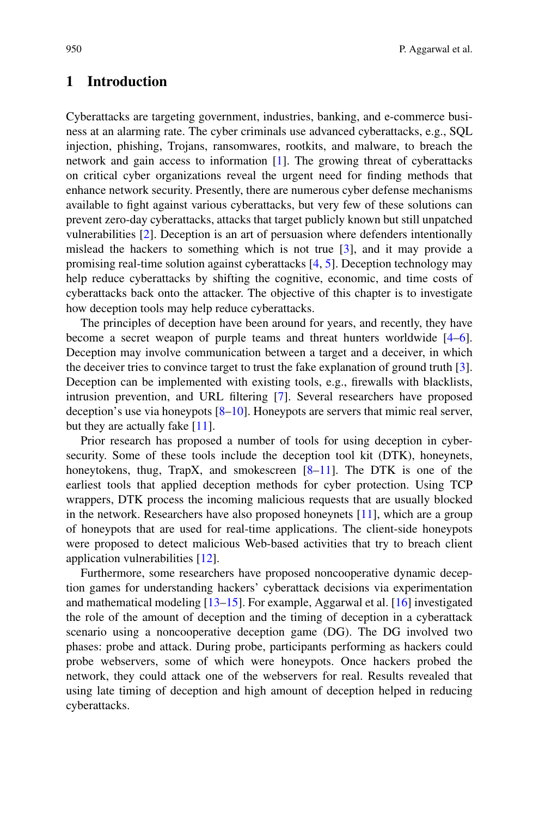## **1 Introduction**

Cyberattacks are targeting government, industries, banking, and e-commerce business at an alarming rate. The cyber criminals use advanced cyberattacks, e.g., SQL injection, phishing, Trojans, ransomwares, rootkits, and malware, to breach the network and gain access to information [\[1\]](#page-10-0). The growing threat of cyberattacks on critical cyber organizations reveal the urgent need for finding methods that enhance network security. Presently, there are numerous cyber defense mechanisms available to fight against various cyberattacks, but very few of these solutions can prevent zero-day cyberattacks, attacks that target publicly known but still unpatched vulnerabilities [\[2\]](#page-10-1). Deception is an art of persuasion where defenders intentionally mislead the hackers to something which is not true [\[3\]](#page-10-2), and it may provide a promising real-time solution against cyberattacks [\[4,](#page-10-3) [5\]](#page-10-4). Deception technology may help reduce cyberattacks by shifting the cognitive, economic, and time costs of cyberattacks back onto the attacker. The objective of this chapter is to investigate how deception tools may help reduce cyberattacks.

The principles of deception have been around for years, and recently, they have become a secret weapon of purple teams and threat hunters worldwide [\[4–](#page-10-3)[6\]](#page-10-5). Deception may involve communication between a target and a deceiver, in which the deceiver tries to convince target to trust the fake explanation of ground truth [\[3\]](#page-10-2). Deception can be implemented with existing tools, e.g., firewalls with blacklists, intrusion prevention, and URL filtering [\[7\]](#page-10-6). Several researchers have proposed deception's use via honeypots [\[8–](#page-10-7)[10\]](#page-10-8). Honeypots are servers that mimic real server, but they are actually fake [\[11\]](#page-10-9).

Prior research has proposed a number of tools for using deception in cybersecurity. Some of these tools include the deception tool kit (DTK), honeynets, honeytokens, thug, TrapX, and smokescreen  $[8-11]$  $[8-11]$ . The DTK is one of the earliest tools that applied deception methods for cyber protection. Using TCP wrappers, DTK process the incoming malicious requests that are usually blocked in the network. Researchers have also proposed honeynets [\[11\]](#page-10-9), which are a group of honeypots that are used for real-time applications. The client-side honeypots were proposed to detect malicious Web-based activities that try to breach client application vulnerabilities [\[12\]](#page-10-10).

Furthermore, some researchers have proposed noncooperative dynamic deception games for understanding hackers' cyberattack decisions via experimentation and mathematical modeling [\[13](#page-10-11)[–15\]](#page-10-12). For example, Aggarwal et al. [\[16\]](#page-10-13) investigated the role of the amount of deception and the timing of deception in a cyberattack scenario using a noncooperative deception game (DG). The DG involved two phases: probe and attack. During probe, participants performing as hackers could probe webservers, some of which were honeypots. Once hackers probed the network, they could attack one of the webservers for real. Results revealed that using late timing of deception and high amount of deception helped in reducing cyberattacks.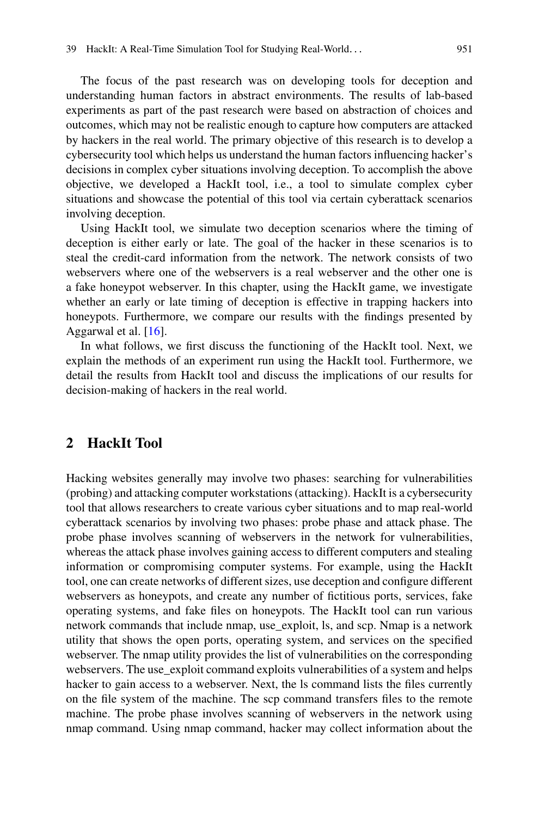The focus of the past research was on developing tools for deception and understanding human factors in abstract environments. The results of lab-based experiments as part of the past research were based on abstraction of choices and outcomes, which may not be realistic enough to capture how computers are attacked by hackers in the real world. The primary objective of this research is to develop a cybersecurity tool which helps us understand the human factors influencing hacker's decisions in complex cyber situations involving deception. To accomplish the above objective, we developed a HackIt tool, i.e., a tool to simulate complex cyber situations and showcase the potential of this tool via certain cyberattack scenarios involving deception.

Using HackIt tool, we simulate two deception scenarios where the timing of deception is either early or late. The goal of the hacker in these scenarios is to steal the credit-card information from the network. The network consists of two webservers where one of the webservers is a real webserver and the other one is a fake honeypot webserver. In this chapter, using the HackIt game, we investigate whether an early or late timing of deception is effective in trapping hackers into honeypots. Furthermore, we compare our results with the findings presented by Aggarwal et al. [\[16\]](#page-10-13).

In what follows, we first discuss the functioning of the HackIt tool. Next, we explain the methods of an experiment run using the HackIt tool. Furthermore, we detail the results from HackIt tool and discuss the implications of our results for decision-making of hackers in the real world.

### **2 HackIt Tool**

Hacking websites generally may involve two phases: searching for vulnerabilities (probing) and attacking computer workstations (attacking). HackIt is a cybersecurity tool that allows researchers to create various cyber situations and to map real-world cyberattack scenarios by involving two phases: probe phase and attack phase. The probe phase involves scanning of webservers in the network for vulnerabilities, whereas the attack phase involves gaining access to different computers and stealing information or compromising computer systems. For example, using the HackIt tool, one can create networks of different sizes, use deception and configure different webservers as honeypots, and create any number of fictitious ports, services, fake operating systems, and fake files on honeypots. The HackIt tool can run various network commands that include nmap, use\_exploit, ls, and scp. Nmap is a network utility that shows the open ports, operating system, and services on the specified webserver. The nmap utility provides the list of vulnerabilities on the corresponding webservers. The use exploit command exploits vulnerabilities of a system and helps hacker to gain access to a webserver. Next, the ls command lists the files currently on the file system of the machine. The scp command transfers files to the remote machine. The probe phase involves scanning of webservers in the network using nmap command. Using nmap command, hacker may collect information about the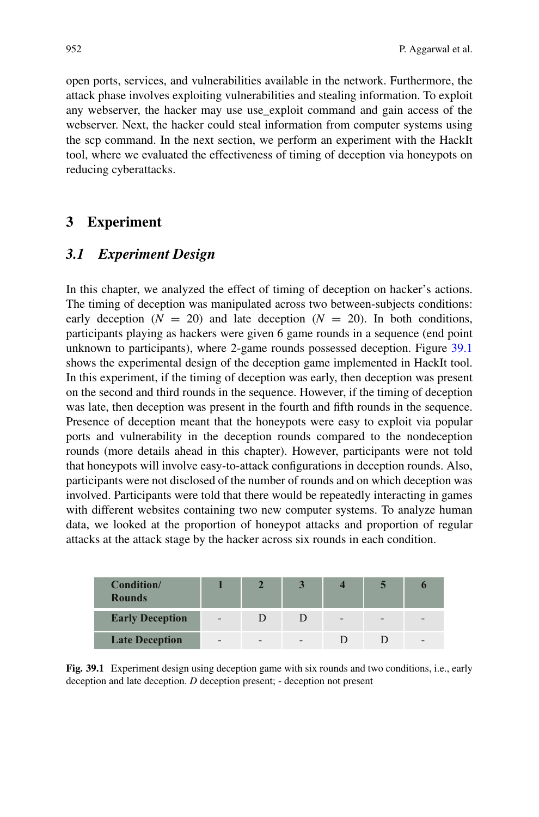open ports, services, and vulnerabilities available in the network. Furthermore, the attack phase involves exploiting vulnerabilities and stealing information. To exploit any webserver, the hacker may use use\_exploit command and gain access of the webserver. Next, the hacker could steal information from computer systems using the scp command. In the next section, we perform an experiment with the HackIt tool, where we evaluated the effectiveness of timing of deception via honeypots on reducing cyberattacks.

### **3 Experiment**

## *3.1 Experiment Design*

In this chapter, we analyzed the effect of timing of deception on hacker's actions. The timing of deception was manipulated across two between-subjects conditions: early deception  $(N = 20)$  and late deception  $(N = 20)$ . In both conditions, participants playing as hackers were given 6 game rounds in a sequence (end point unknown to participants), where 2-game rounds possessed deception. Figure [39.1](#page-3-0) shows the experimental design of the deception game implemented in HackIt tool. In this experiment, if the timing of deception was early, then deception was present on the second and third rounds in the sequence. However, if the timing of deception was late, then deception was present in the fourth and fifth rounds in the sequence. Presence of deception meant that the honeypots were easy to exploit via popular ports and vulnerability in the deception rounds compared to the nondeception rounds (more details ahead in this chapter). However, participants were not told that honeypots will involve easy-to-attack configurations in deception rounds. Also, participants were not disclosed of the number of rounds and on which deception was involved. Participants were told that there would be repeatedly interacting in games with different websites containing two new computer systems. To analyze human data, we looked at the proportion of honeypot attacks and proportion of regular attacks at the attack stage by the hacker across six rounds in each condition.

| Condition/<br><b>Rounds</b> |                          |                          |                          |                          |                          |   |
|-----------------------------|--------------------------|--------------------------|--------------------------|--------------------------|--------------------------|---|
| <b>Early Deception</b>      | $\overline{\phantom{0}}$ |                          |                          | $\overline{\phantom{0}}$ | $\overline{\phantom{0}}$ | - |
| <b>Late Deception</b>       | $\qquad \qquad$          | $\overline{\phantom{0}}$ | $\overline{\phantom{0}}$ |                          |                          | ۰ |

<span id="page-3-0"></span>**Fig. 39.1** Experiment design using deception game with six rounds and two conditions, i.e., early deception and late deception. *D* deception present; - deception not present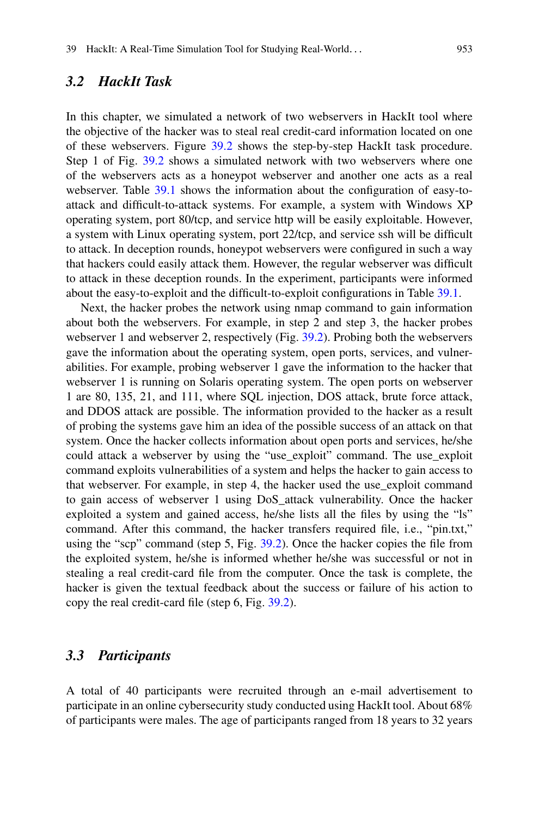## *3.2 HackIt Task*

In this chapter, we simulated a network of two webservers in HackIt tool where the objective of the hacker was to steal real credit-card information located on one of these webservers. Figure [39.2](#page-5-0) shows the step-by-step HackIt task procedure. Step 1 of Fig. [39.2](#page-5-0) shows a simulated network with two webservers where one of the webservers acts as a honeypot webserver and another one acts as a real webserver. Table [39.1](#page-7-0) shows the information about the configuration of easy-toattack and difficult-to-attack systems. For example, a system with Windows XP operating system, port 80/tcp, and service http will be easily exploitable. However, a system with Linux operating system, port 22/tcp, and service ssh will be difficult to attack. In deception rounds, honeypot webservers were configured in such a way that hackers could easily attack them. However, the regular webserver was difficult to attack in these deception rounds. In the experiment, participants were informed about the easy-to-exploit and the difficult-to-exploit configurations in Table [39.1.](#page-7-0)

Next, the hacker probes the network using nmap command to gain information about both the webservers. For example, in step 2 and step 3, the hacker probes webserver 1 and webserver 2, respectively (Fig. [39.2\)](#page-5-0). Probing both the webservers gave the information about the operating system, open ports, services, and vulnerabilities. For example, probing webserver 1 gave the information to the hacker that webserver 1 is running on Solaris operating system. The open ports on webserver 1 are 80, 135, 21, and 111, where SQL injection, DOS attack, brute force attack, and DDOS attack are possible. The information provided to the hacker as a result of probing the systems gave him an idea of the possible success of an attack on that system. Once the hacker collects information about open ports and services, he/she could attack a webserver by using the "use\_exploit" command. The use\_exploit command exploits vulnerabilities of a system and helps the hacker to gain access to that webserver. For example, in step 4, the hacker used the use\_exploit command to gain access of webserver 1 using DoS\_attack vulnerability. Once the hacker exploited a system and gained access, he/she lists all the files by using the "ls" command. After this command, the hacker transfers required file, i.e., "pin.txt," using the "scp" command (step 5, Fig. [39.2\)](#page-5-0). Once the hacker copies the file from the exploited system, he/she is informed whether he/she was successful or not in stealing a real credit-card file from the computer. Once the task is complete, the hacker is given the textual feedback about the success or failure of his action to copy the real credit-card file (step 6, Fig. [39.2\)](#page-5-0).

#### *3.3 Participants*

A total of 40 participants were recruited through an e-mail advertisement to participate in an online cybersecurity study conducted using HackIt tool. About 68% of participants were males. The age of participants ranged from 18 years to 32 years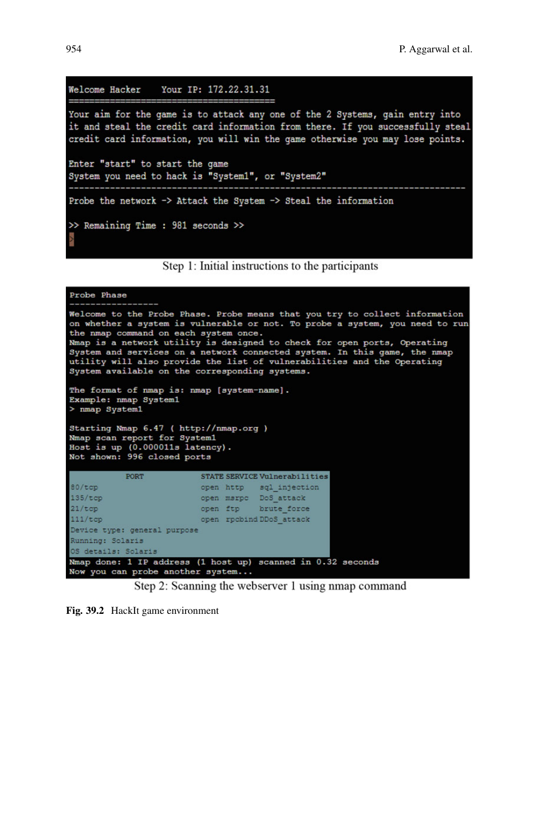Welcome Hacker Your IP: 172.22.31.31

Your aim for the game is to attack any one of the 2 Systems, gain entry into it and steal the credit card information from there. If you successfully steal credit card information, you will win the game otherwise you may lose points.

Enter "start" to start the game System you need to hack is "System1", or "System2" Probe the network  $\rightarrow$  Attack the System  $\rightarrow$  Steal the information >> Remaining Time : 981 seconds >>

#### Step 1: Initial instructions to the participants

| Probe Phase                                                                                                                              |                                                                                                                                                                                                                                                                                                                                                                                                                                                   |  |  |  |
|------------------------------------------------------------------------------------------------------------------------------------------|---------------------------------------------------------------------------------------------------------------------------------------------------------------------------------------------------------------------------------------------------------------------------------------------------------------------------------------------------------------------------------------------------------------------------------------------------|--|--|--|
| the nmap command on each system once.                                                                                                    | Welcome to the Probe Phase. Probe means that you try to collect information<br>on whether a system is vulnerable or not. To probe a system, you need to run<br>Nmap is a network utility is designed to check for open ports, Operating<br>System and services on a network connected system. In this game, the nmap<br>utility will also provide the list of vulnerabilities and the Operating<br>System available on the corresponding systems. |  |  |  |
| The format of nmap is: nmap [system-name].<br>Example: nmap System1<br>$>$ nmap System1                                                  |                                                                                                                                                                                                                                                                                                                                                                                                                                                   |  |  |  |
| Starting Nmap 6.47 (http://nmap.org)<br>Nmap scan report for System1<br>Host is up $(0.000011s$ latency).<br>Not shown: 996 closed ports |                                                                                                                                                                                                                                                                                                                                                                                                                                                   |  |  |  |
| <b>PORT</b>                                                                                                                              | STATE SERVICE Vulnerabilities                                                                                                                                                                                                                                                                                                                                                                                                                     |  |  |  |
| 80/tcp                                                                                                                                   | open http sql injection                                                                                                                                                                                                                                                                                                                                                                                                                           |  |  |  |
| 135/tcp                                                                                                                                  | open msrpc DoS attack                                                                                                                                                                                                                                                                                                                                                                                                                             |  |  |  |
| 21/top                                                                                                                                   | open ftp brute force                                                                                                                                                                                                                                                                                                                                                                                                                              |  |  |  |
| $111/t$ co                                                                                                                               | open rpcbind DDoS attack                                                                                                                                                                                                                                                                                                                                                                                                                          |  |  |  |
| Device type: general purpose                                                                                                             |                                                                                                                                                                                                                                                                                                                                                                                                                                                   |  |  |  |
| Running: Solaris                                                                                                                         |                                                                                                                                                                                                                                                                                                                                                                                                                                                   |  |  |  |
| OS details: Solaris                                                                                                                      |                                                                                                                                                                                                                                                                                                                                                                                                                                                   |  |  |  |
| Nmap done: 1 IP address (1 host up) scanned in 0.32 seconds                                                                              |                                                                                                                                                                                                                                                                                                                                                                                                                                                   |  |  |  |
| Now you can probe another system                                                                                                         |                                                                                                                                                                                                                                                                                                                                                                                                                                                   |  |  |  |
| $C_{\text{tan}}$ 2. Conving the uphoening $1$ using nonen command                                                                        |                                                                                                                                                                                                                                                                                                                                                                                                                                                   |  |  |  |

Step 2: Scanning the webserver 1 using nmap command

<span id="page-5-0"></span>**Fig. 39.2** HackIt game environment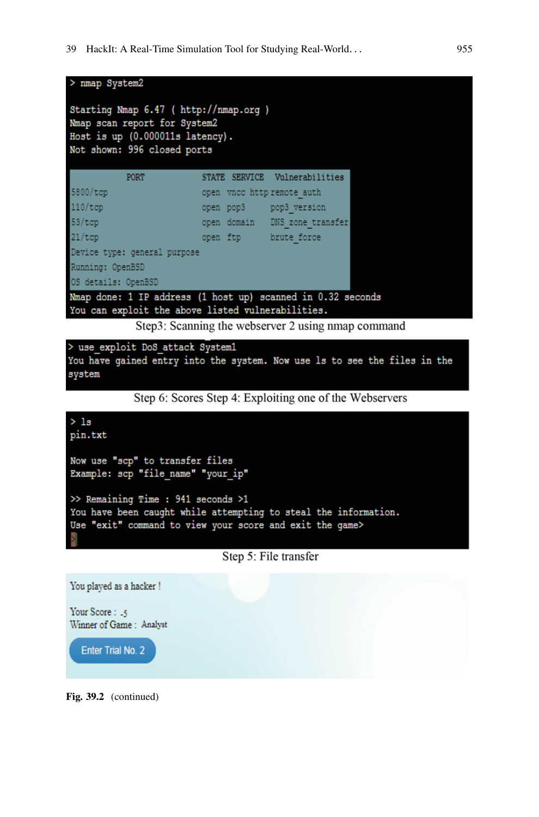| $>$ nmap System2                                                                                                                           |                            |                                |  |  |  |
|--------------------------------------------------------------------------------------------------------------------------------------------|----------------------------|--------------------------------|--|--|--|
| Starting Nmap 6.47 ( http://nmap.org )<br>Nmap scan report for System2<br>Host is up $(0.000011s$ latency).<br>Not shown: 996 closed ports |                            |                                |  |  |  |
| <b>PORT</b>                                                                                                                                |                            | STATE SERVICE Vulnerabilities  |  |  |  |
| 5800/tcp                                                                                                                                   | open vncc http remote auth |                                |  |  |  |
| 110/tCD                                                                                                                                    | open pop3 pop3 version     |                                |  |  |  |
| 53/tcp                                                                                                                                     |                            | open domain  DNS zone transfer |  |  |  |
| 21/tcp                                                                                                                                     | open ftp brute force       |                                |  |  |  |
| Device type: general purpose                                                                                                               |                            |                                |  |  |  |
| Running: OpenBSD                                                                                                                           |                            |                                |  |  |  |
| OS details: OpenBSD                                                                                                                        |                            |                                |  |  |  |
| Nmap done: 1 IP address (1 host up) scanned in 0.32 seconds<br>You can exploit the above listed vulnerabilities.                           |                            |                                |  |  |  |

Step3: Scanning the webserver 2 using nmap command

> use exploit DoS attack System1 You have gained entry into the system. Now use 1s to see the files in the system

Step 6: Scores Step 4: Exploiting one of the Webservers

```
> 1spin.txt
Now use "scp" to transfer files
Example: scp "file_name" "your_ip"
>> Remaining Time : 941 seconds >1
You have been caught while attempting to steal the information.
Use "exit" command to view your score and exit the game>
                              Step 5: File transfer
You played as a hacker !
```
Your Score: .5 Winner of Game: Analyst

Enter Trial No. 2

**Fig. 39.2** (continued)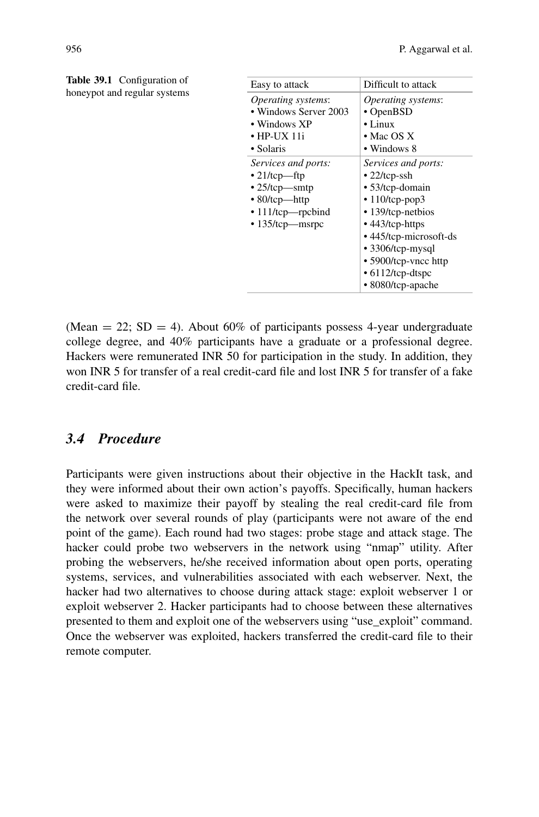• 8080/tcp-apache

<span id="page-7-0"></span>

| <b>Table 39.1</b> Configuration of | Easy to attack          | Difficult to attack                   |  |
|------------------------------------|-------------------------|---------------------------------------|--|
| honeypot and regular systems       | Operating systems:      | Operating systems:<br>$\cdot$ OpenBSD |  |
|                                    | • Windows Server 2003   |                                       |  |
|                                    | • Windows XP            | $\bullet$ Linux                       |  |
|                                    | $\cdot$ HP-UX 11i       | • Mac OS $X$                          |  |
|                                    | • Solaris               | $\bullet$ Windows 8                   |  |
|                                    | Services and ports:     | Services and ports:                   |  |
|                                    | $\cdot$ 21/tcp—ftp      | $\cdot$ 22/tcp-ssh                    |  |
|                                    | $\cdot$ 25/tcp—smtp     | $\cdot$ 53/tcp-domain                 |  |
|                                    | $\cdot$ 80/tcp—http     | $\cdot$ 110/tcp-pop3                  |  |
|                                    | $\cdot$ 111/tcp—rpcbind | $\cdot$ 139/tcp-netbios               |  |
|                                    | $\cdot$ 135/tcp—msrpc   | $\cdot$ 443/tcp-https                 |  |
|                                    |                         | • 445/tcp-microsoft-ds                |  |
|                                    |                         | $\cdot$ 3306/tcp-mysql                |  |
|                                    |                         | • 5900/tcp-vncc http                  |  |
|                                    |                         | $\cdot$ 6112/tcp-dtspc                |  |

**Table 39.1** Configuration of

(Mean  $= 22$ ; SD  $= 4$ ). About 60% of participants possess 4-year undergraduate college degree, and 40% participants have a graduate or a professional degree. Hackers were remunerated INR 50 for participation in the study. In addition, they won INR 5 for transfer of a real credit-card file and lost INR 5 for transfer of a fake credit-card file.

## *3.4 Procedure*

Participants were given instructions about their objective in the HackIt task, and they were informed about their own action's payoffs. Specifically, human hackers were asked to maximize their payoff by stealing the real credit-card file from the network over several rounds of play (participants were not aware of the end point of the game). Each round had two stages: probe stage and attack stage. The hacker could probe two webservers in the network using "nmap" utility. After probing the webservers, he/she received information about open ports, operating systems, services, and vulnerabilities associated with each webserver. Next, the hacker had two alternatives to choose during attack stage: exploit webserver 1 or exploit webserver 2. Hacker participants had to choose between these alternatives presented to them and exploit one of the webservers using "use\_exploit" command. Once the webserver was exploited, hackers transferred the credit-card file to their remote computer.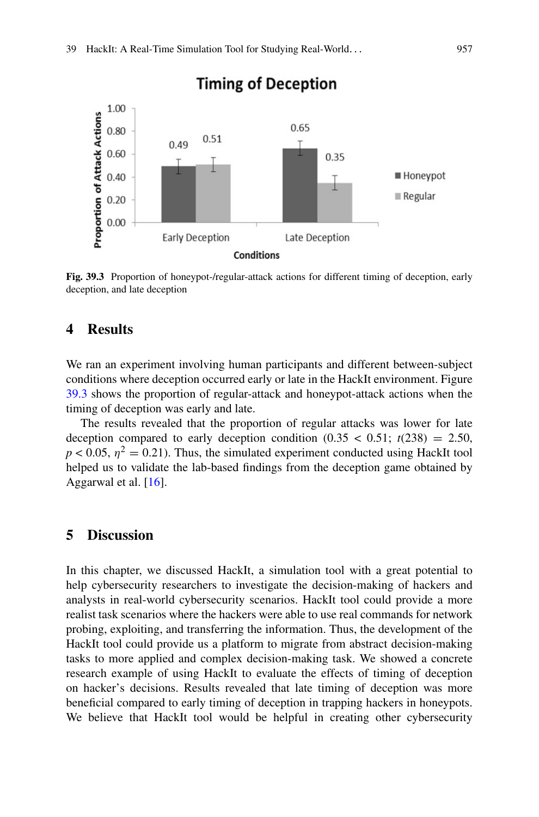

<span id="page-8-0"></span>**Fig. 39.3** Proportion of honeypot-/regular-attack actions for different timing of deception, early deception, and late deception

### **4 Results**

We ran an experiment involving human participants and different between-subject conditions where deception occurred early or late in the HackIt environment. Figure [39.3](#page-8-0) shows the proportion of regular-attack and honeypot-attack actions when the timing of deception was early and late.

The results revealed that the proportion of regular attacks was lower for late deception compared to early deception condition  $(0.35 < 0.51; t(238) = 2.50,$  $p < 0.05$ ,  $\eta^2 = 0.21$ ). Thus, the simulated experiment conducted using HackIt tool helped us to validate the lab-based findings from the deception game obtained by Aggarwal et al. [\[16\]](#page-10-13).

### **5 Discussion**

In this chapter, we discussed HackIt, a simulation tool with a great potential to help cybersecurity researchers to investigate the decision-making of hackers and analysts in real-world cybersecurity scenarios. HackIt tool could provide a more realist task scenarios where the hackers were able to use real commands for network probing, exploiting, and transferring the information. Thus, the development of the HackIt tool could provide us a platform to migrate from abstract decision-making tasks to more applied and complex decision-making task. We showed a concrete research example of using HackIt to evaluate the effects of timing of deception on hacker's decisions. Results revealed that late timing of deception was more beneficial compared to early timing of deception in trapping hackers in honeypots. We believe that HackIt tool would be helpful in creating other cybersecurity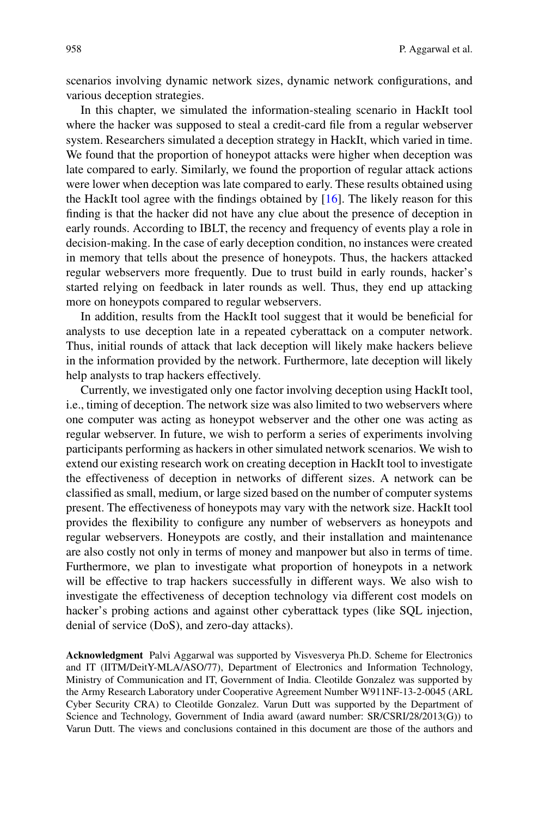scenarios involving dynamic network sizes, dynamic network configurations, and various deception strategies.

In this chapter, we simulated the information-stealing scenario in HackIt tool where the hacker was supposed to steal a credit-card file from a regular webserver system. Researchers simulated a deception strategy in HackIt, which varied in time. We found that the proportion of honeypot attacks were higher when deception was late compared to early. Similarly, we found the proportion of regular attack actions were lower when deception was late compared to early. These results obtained using the HackIt tool agree with the findings obtained by [\[16\]](#page-10-13). The likely reason for this finding is that the hacker did not have any clue about the presence of deception in early rounds. According to IBLT, the recency and frequency of events play a role in decision-making. In the case of early deception condition, no instances were created in memory that tells about the presence of honeypots. Thus, the hackers attacked regular webservers more frequently. Due to trust build in early rounds, hacker's started relying on feedback in later rounds as well. Thus, they end up attacking more on honeypots compared to regular webservers.

In addition, results from the HackIt tool suggest that it would be beneficial for analysts to use deception late in a repeated cyberattack on a computer network. Thus, initial rounds of attack that lack deception will likely make hackers believe in the information provided by the network. Furthermore, late deception will likely help analysts to trap hackers effectively.

Currently, we investigated only one factor involving deception using HackIt tool, i.e., timing of deception. The network size was also limited to two webservers where one computer was acting as honeypot webserver and the other one was acting as regular webserver. In future, we wish to perform a series of experiments involving participants performing as hackers in other simulated network scenarios. We wish to extend our existing research work on creating deception in HackIt tool to investigate the effectiveness of deception in networks of different sizes. A network can be classified as small, medium, or large sized based on the number of computer systems present. The effectiveness of honeypots may vary with the network size. HackIt tool provides the flexibility to configure any number of webservers as honeypots and regular webservers. Honeypots are costly, and their installation and maintenance are also costly not only in terms of money and manpower but also in terms of time. Furthermore, we plan to investigate what proportion of honeypots in a network will be effective to trap hackers successfully in different ways. We also wish to investigate the effectiveness of deception technology via different cost models on hacker's probing actions and against other cyberattack types (like SQL injection, denial of service (DoS), and zero-day attacks).

**Acknowledgment** Palvi Aggarwal was supported by Visvesverya Ph.D. Scheme for Electronics and IT (IITM/DeitY-MLA/ASO/77), Department of Electronics and Information Technology, Ministry of Communication and IT, Government of India. Cleotilde Gonzalez was supported by the Army Research Laboratory under Cooperative Agreement Number W911NF-13-2-0045 (ARL Cyber Security CRA) to Cleotilde Gonzalez. Varun Dutt was supported by the Department of Science and Technology, Government of India award (award number: SR/CSRI/28/2013(G)) to Varun Dutt. The views and conclusions contained in this document are those of the authors and